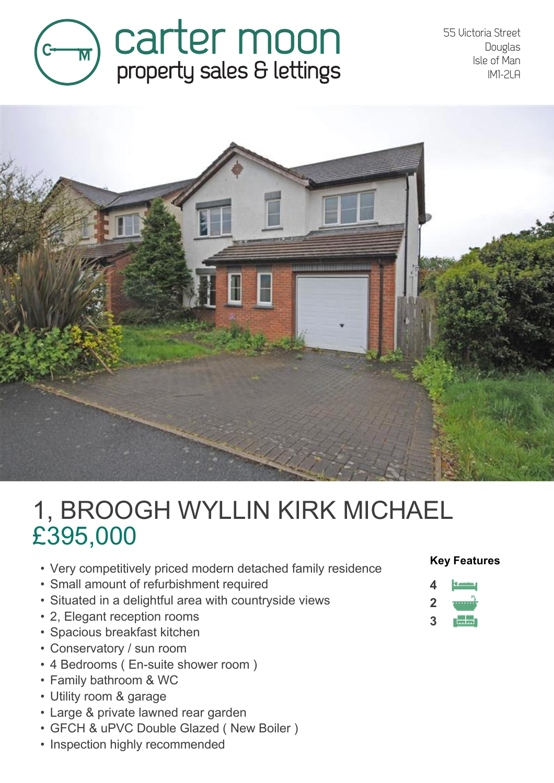

# Carter moon

55 Victoria Street Douglas Isle of Man IM1-2LA



### 1, BROOGH WYLLIN KIRK MICHAEL £395,000

- Very competitively priced modern detached family residence
- Small amount of refurbishment required
- Situated in a delightful area with countryside views
- 2, Elegant reception rooms
- Spacious breakfast kitchen
- Conservatory / sun room
- 4 Bedrooms ( En-suite shower room )
- Family bathroom & WC
- Utility room & garage
- Large & private lawned rear garden
- GFCH & uPVC Double Glazed ( New Boiler )
- Inspection highly recommended

#### **Key Features**

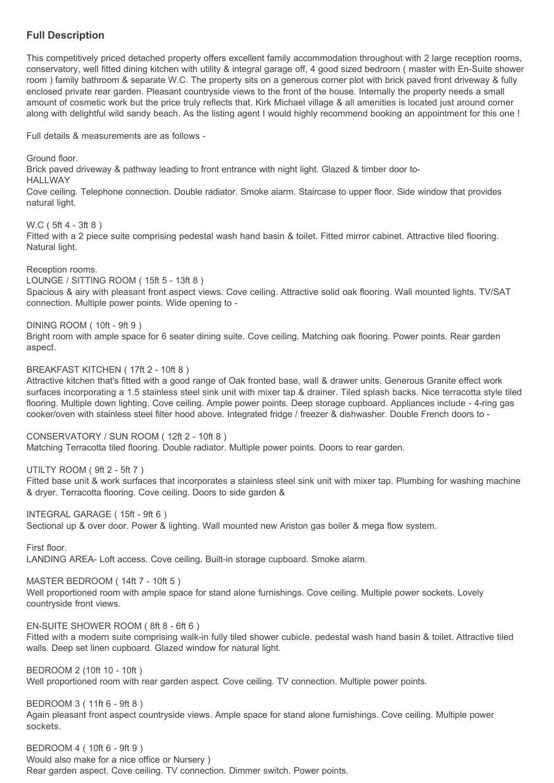#### **Full Description**

This competitively priced detached property offers excellent family accommodation throughout with 2 large reception rooms, conservatory, well fitted dining kitchen with utility & integral garage off, 4 good sized bedroom ( master with En-Suite shower room ) family bathroom & separate W.C. The property sits on a generous corner plot with brick paved front driveway & fully enclosed private rear garden. Pleasant countryside views to the front of the house. Internally the property needs a small amount of cosmetic work but the price truly reflects that. Kirk Michael village & all amenities is located just around corner along with delightful wild sandy beach. As the listing agent I would highly recommend booking an appointment for this one !

Full details & measurements are as follows -

Ground floor.

Brick paved driveway & pathway leading to front entrance with night light. Glazed & timber door to-

HALLWAY

Cove ceiling. Telephone connection. Double radiator. Smoke alarm. Staircase to upper floor. Side window that provides natural light.

W.C ( 5ft 4 - 3ft 8 ) Fitted with a 2 piece suite comprising pedestal wash hand basin & toilet. Fitted mirror cabinet. Attractive tiled flooring. Natural light.

Reception rooms.

LOUNGE / SITTING ROOM ( 15ft 5 - 13ft 8 )

Spacious & airy with pleasant front aspect views. Cove ceiling. Attractive solid oak flooring. Wall mounted lights. TV/SAT connection. Multiple power points. Wide opening to -

DINING ROOM ( 10ft - 9ft 9 )

Bright room with ample space for 6 seater dining suite. Cove ceiling. Matching oak flooring. Power points. Rear garden aspect.

#### BREAKFAST KITCHEN ( 17ft 2 - 10ft 8 )

Attractive kitchen that's fitted with a good range of Oak fronted base, wall & drawer units. Generous Granite effect work surfaces incorporating a 1.5 stainless steel sink unit with mixer tap & drainer. Tiled splash backs. Nice terracotta style tiled flooring. Multiple down lighting. Cove ceiling. Ample power points. Deep storage cupboard. Appliances include - 4-ring gas cooker/oven with stainless steel filter hood above. Integrated fridge / freezer & dishwasher. Double French doors to -

CONSERVATORY / SUN ROOM ( 12ft 2 - 10ft 8 )

Matching Terracotta tiled flooring. Double radiator. Multiple power points. Doors to rear garden.

UTILTY ROOM ( 9ft 2 - 5ft 7 )

Fitted base unit & work surfaces that incorporates a stainless steel sink unit with mixer tap. Plumbing for washing machine & dryer. Terracotta flooring. Cove ceiling. Doors to side garden &

INTEGRAL GARAGE ( 15ft - 9ft 6 ) Sectional up & over door. Power & lighting. Wall mounted new Ariston gas boiler & mega flow system.

First floor.

LANDING AREA- Loft access. Cove ceiling. Built-in storage cupboard. Smoke alarm.

MASTER BEDROOM ( 14ft 7 - 10ft 5 )

Well proportioned room with ample space for stand alone furnishings. Cove ceiling. Multiple power sockets. Lovely countryside front views.

EN-SUITE SHOWER ROOM ( 8ft 8 - 6ft 6 )

Fitted with a modern suite comprising walk-in fully tiled shower cubicle. pedestal wash hand basin & toilet. Attractive tiled walls. Deep set linen cupboard. Glazed window for natural light.

BEDROOM 2 (10ft 10 - 10ft ) Well proportioned room with rear garden aspect. Cove ceiling. TV connection. Multiple power points.

BEDROOM 3 ( 11ft 6 - 9ft 8 )

Again pleasant front aspect countryside views. Ample space for stand alone furnishings. Cove ceiling. Multiple power sockets.

BEDROOM 4 ( 10ft 6 - 9ft 9 ) Would also make for a nice office or Nursery ) Rear garden aspect. Cove ceiling. TV connection. Dimmer switch. Power points.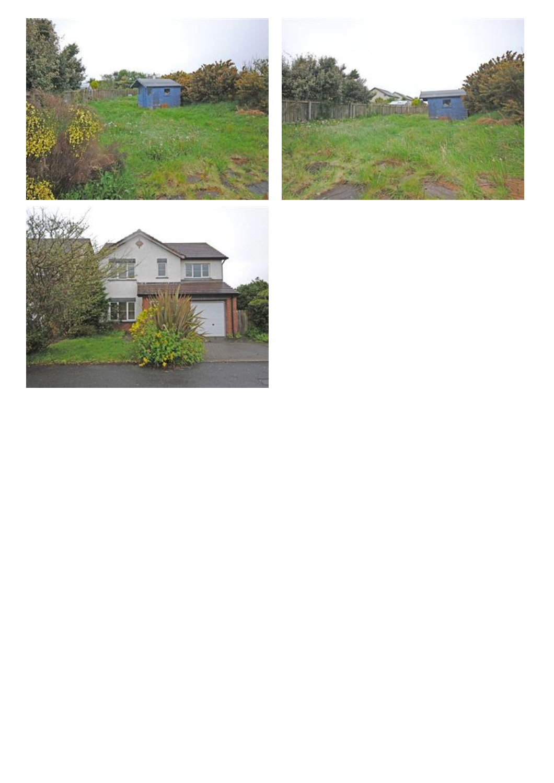